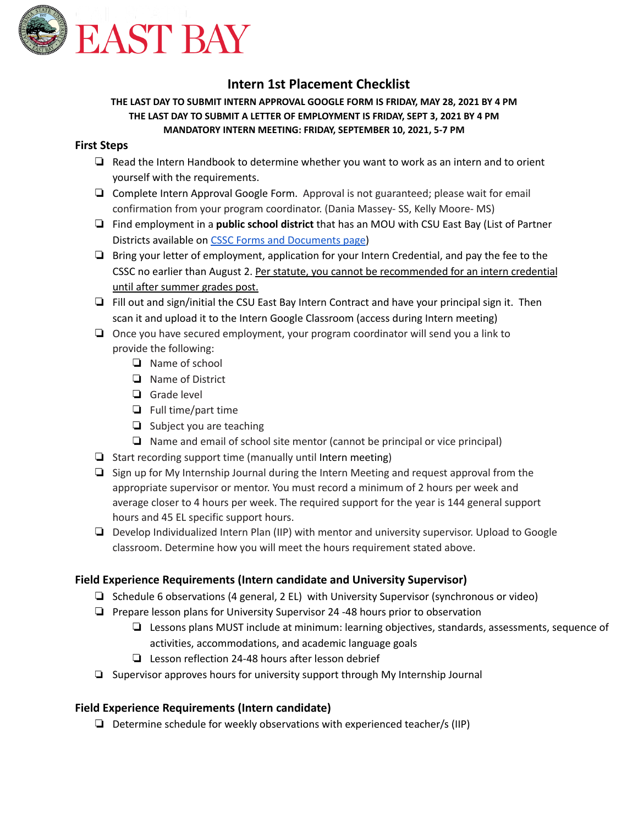

# **Intern 1st Placement Checklist**

### **THE LAST DAY TO SUBMIT INTERN APPROVAL GOOGLE FORM IS FRIDAY, MAY 28, 2021 BY 4 PM THE LAST DAY TO SUBMIT A LETTER OF EMPLOYMENT IS FRIDAY, SEPT 3, 2021 BY 4 PM MANDATORY INTERN MEETING: FRIDAY, SEPTEMBER 10, 2021, 5-7 PM**

# **First Steps**

- ❏ Read the Intern Handbook to determine whether you want to work as an intern and to orient yourself with the requirements.
- ❏ Complete Intern Approval Google Form. Approval is not guaranteed; please wait for email confirmation from your program coordinator. (Dania Massey- SS, Kelly Moore- MS)
- ❏ Find employment in a **public school district** that has an MOU with CSU East Bay (List of Partner Districts available on CSSC Forms and [Documents](https://www.csueastbay.edu/cssc/admitted-enrolled-student/index.html) page)
- ❏ Bring your letter of employment, application for your Intern Credential, and pay the fee to the CSSC no earlier than August 2. Per statute, you cannot be recommended for an intern credential until after summer grades post.
- ❏ Fill out and sign/initial the CSU East Bay Intern Contract and have your principal sign it. Then scan it and upload it to the Intern Google Classroom (access during Intern meeting)
- ❏ Once you have secured employment, your program coordinator will send you a link to provide the following:
	- ❏ Name of school
	- ❏ Name of District
	- ❏ Grade level
	- ❏ Full time/part time
	- ❏ Subject you are teaching
	- ❏ Name and email of school site mentor (cannot be principal or vice principal)
- ❏ Start recording support time (manually until Intern meeting)
- ❏ Sign up for My Internship Journal during the Intern Meeting and request approval from the appropriate supervisor or mentor. You must record a minimum of 2 hours per week and average closer to 4 hours per week. The required support for the year is 144 general support hours and 45 EL specific support hours.
- ❏ Develop Individualized Intern Plan (IIP) with mentor and university supervisor. Upload to Google classroom. Determine how you will meet the hours requirement stated above.

## **Field Experience Requirements (Intern candidate and University Supervisor)**

- ❏ Schedule 6 observations (4 general, 2 EL) with University Supervisor (synchronous or video)
- ❏ Prepare lesson plans for University Supervisor 24 -48 hours prior to observation
	- ❏ Lessons plans MUST include at minimum: learning objectives, standards, assessments, sequence of activities, accommodations, and academic language goals
	- ❏ Lesson reflection 24-48 hours after lesson debrief
- ❏ Supervisor approves hours for university support through My Internship Journal

## **Field Experience Requirements (Intern candidate)**

❏ Determine schedule for weekly observations with experienced teacher/s (IIP)